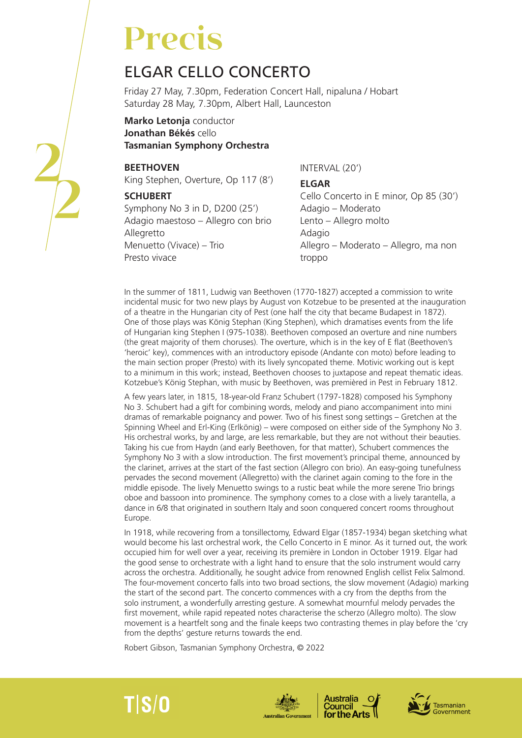# **Precis**

## ELGAR CELLO CONCERTO

Friday 27 May, 7.30pm, Federation Concert Hall, nipaluna / Hobart Saturday 28 May, 7.30pm, Albert Hall, Launceston

**Marko Letonja** conductor **Jonathan Békés** cello **Tasmanian Symphony Orchestra**

#### **BEETHOVEN**

King Stephen, Overture, Op 117 (8')

#### **SCHUBERT**

Symphony No 3 in D, D200 (25') Adagio maestoso – Allegro con brio Allegretto Menuetto (Vivace) – Trio Presto vivace

INTERVAL (20')

#### **ELGAR**

Cello Concerto in E minor, Op 85 (30') Adagio – Moderato Lento – Allegro molto Adagio Allegro – Moderato – Allegro, ma non troppo

In the summer of 1811, Ludwig van Beethoven (1770-1827) accepted a commission to write incidental music for two new plays by August von Kotzebue to be presented at the inauguration of a theatre in the Hungarian city of Pest (one half the city that became Budapest in 1872). One of those plays was König Stephan (King Stephen), which dramatises events from the life of Hungarian king Stephen I (975-1038). Beethoven composed an overture and nine numbers (the great majority of them choruses). The overture, which is in the key of E flat (Beethoven's 'heroic' key), commences with an introductory episode (Andante con moto) before leading to the main section proper (Presto) with its lively syncopated theme. Motivic working out is kept to a minimum in this work; instead, Beethoven chooses to juxtapose and repeat thematic ideas. Kotzebue's König Stephan, with music by Beethoven, was premièred in Pest in February 1812.

A few years later, in 1815, 18-year-old Franz Schubert (1797-1828) composed his Symphony No 3. Schubert had a gift for combining words, melody and piano accompaniment into mini dramas of remarkable poignancy and power. Two of his finest song settings – Gretchen at the Spinning Wheel and Erl-King (Erlkönig) – were composed on either side of the Symphony No 3. His orchestral works, by and large, are less remarkable, but they are not without their beauties. Taking his cue from Haydn (and early Beethoven, for that matter), Schubert commences the Symphony No 3 with a slow introduction. The first movement's principal theme, announced by the clarinet, arrives at the start of the fast section (Allegro con brio). An easy-going tunefulness pervades the second movement (Allegretto) with the clarinet again coming to the fore in the middle episode. The lively Menuetto swings to a rustic beat while the more serene Trio brings oboe and bassoon into prominence. The symphony comes to a close with a lively tarantella, a dance in 6/8 that originated in southern Italy and soon conquered concert rooms throughout Europe.

In 1918, while recovering from a tonsillectomy, Edward Elgar (1857-1934) began sketching what would become his last orchestral work, the Cello Concerto in E minor. As it turned out, the work occupied him for well over a year, receiving its première in London in October 1919. Elgar had the good sense to orchestrate with a light hand to ensure that the solo instrument would carry across the orchestra. Additionally, he sought advice from renowned English cellist Felix Salmond. The four-movement concerto falls into two broad sections, the slow movement (Adagio) marking the start of the second part. The concerto commences with a cry from the depths from the solo instrument, a wonderfully arresting gesture. A somewhat mournful melody pervades the first movement, while rapid repeated notes characterise the scherzo (Allegro molto). The slow movement is a heartfelt song and the finale keeps two contrasting themes in play before the 'cry from the depths' gesture returns towards the end.

Robert Gibson, Tasmanian Symphony Orchestra, © 2022